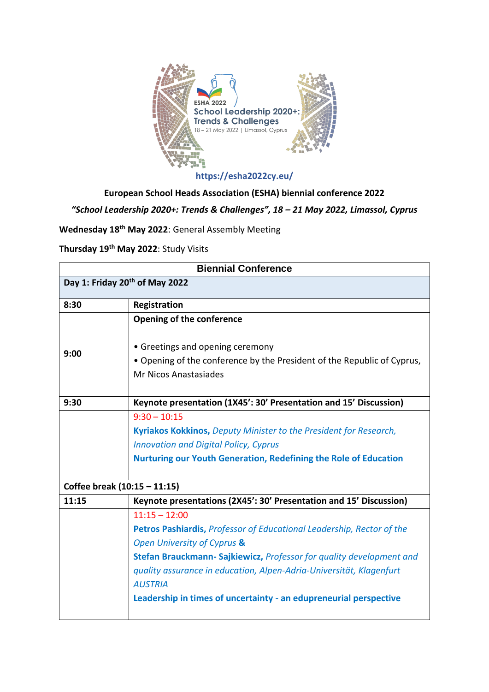

**https://esha2022cy.eu/**

**European School Heads Association (ESHA) biennial conference 2022**

*"School Leadership 2020+: Trends & Challenges", 18 – 21 May 2022, Limassol, Cyprus*

**Wednesday 18th May 2022**: General Assembly Meeting

**Thursday 19th May 2022**: Study Visits

| <b>Biennial Conference</b>                 |                                                                                                                                                                                                                                                                                                                                                              |  |
|--------------------------------------------|--------------------------------------------------------------------------------------------------------------------------------------------------------------------------------------------------------------------------------------------------------------------------------------------------------------------------------------------------------------|--|
| Day 1: Friday 20 <sup>th</sup> of May 2022 |                                                                                                                                                                                                                                                                                                                                                              |  |
| 8:30                                       | Registration                                                                                                                                                                                                                                                                                                                                                 |  |
|                                            | Opening of the conference                                                                                                                                                                                                                                                                                                                                    |  |
| 9:00                                       | • Greetings and opening ceremony<br>• Opening of the conference by the President of the Republic of Cyprus,<br>Mr Nicos Anastasiades                                                                                                                                                                                                                         |  |
| 9:30                                       | Keynote presentation (1X45': 30' Presentation and 15' Discussion)                                                                                                                                                                                                                                                                                            |  |
|                                            | $9:30 - 10:15$<br>Kyriakos Kokkinos, Deputy Minister to the President for Research,<br><b>Innovation and Digital Policy, Cyprus</b><br><b>Nurturing our Youth Generation, Redefining the Role of Education</b>                                                                                                                                               |  |
| Coffee break (10:15 - 11:15)               |                                                                                                                                                                                                                                                                                                                                                              |  |
| 11:15                                      | Keynote presentations (2X45': 30' Presentation and 15' Discussion)                                                                                                                                                                                                                                                                                           |  |
|                                            | $11:15 - 12:00$<br>Petros Pashiardis, Professor of Educational Leadership, Rector of the<br>Open University of Cyprus &<br>Stefan Brauckmann-Sajkiewicz, Professor for quality development and<br>quality assurance in education, Alpen-Adria-Universität, Klagenfurt<br><b>AUSTRIA</b><br>Leadership in times of uncertainty - an edupreneurial perspective |  |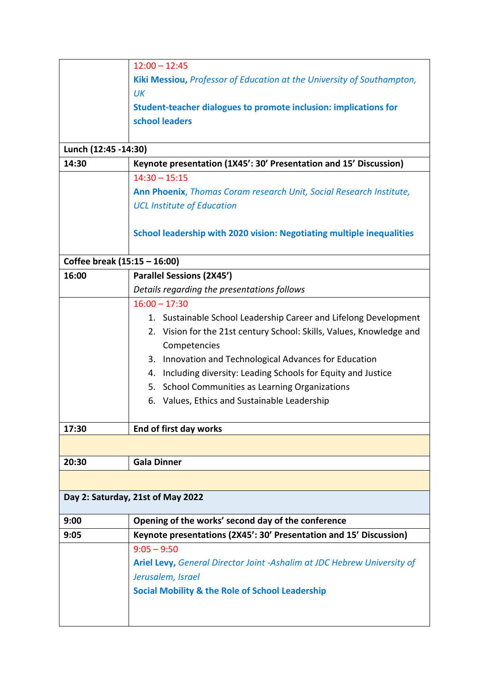|                              | $12:00 - 12:45$                                                         |  |
|------------------------------|-------------------------------------------------------------------------|--|
|                              | Kiki Messiou, Professor of Education at the University of Southampton,  |  |
|                              | UK                                                                      |  |
|                              | Student-teacher dialogues to promote inclusion: implications for        |  |
|                              | school leaders                                                          |  |
|                              |                                                                         |  |
| Lunch (12:45 -14:30)         |                                                                         |  |
| 14:30                        | Keynote presentation (1X45': 30' Presentation and 15' Discussion)       |  |
|                              | $14:30 - 15:15$                                                         |  |
|                              | Ann Phoenix, Thomas Coram research Unit, Social Research Institute,     |  |
|                              | <b>UCL Institute of Education</b>                                       |  |
|                              |                                                                         |  |
|                              | School leadership with 2020 vision: Negotiating multiple inequalities   |  |
|                              |                                                                         |  |
| Coffee break (15:15 - 16:00) |                                                                         |  |
| 16:00                        | <b>Parallel Sessions (2X45')</b>                                        |  |
|                              | Details regarding the presentations follows                             |  |
|                              | $16:00 - 17:30$                                                         |  |
|                              | 1. Sustainable School Leadership Career and Lifelong Development        |  |
|                              | 2. Vision for the 21st century School: Skills, Values, Knowledge and    |  |
|                              | Competencies                                                            |  |
|                              | 3. Innovation and Technological Advances for Education                  |  |
|                              | Including diversity: Leading Schools for Equity and Justice<br>4.       |  |
|                              | 5. School Communities as Learning Organizations                         |  |
|                              | 6. Values, Ethics and Sustainable Leadership                            |  |
|                              |                                                                         |  |
| 17:30                        | End of first day works                                                  |  |
|                              |                                                                         |  |
|                              |                                                                         |  |
| 20:30                        | <b>Gala Dinner</b>                                                      |  |
|                              |                                                                         |  |
|                              | Day 2: Saturday, 21st of May 2022                                       |  |
| 9:00                         | Opening of the works' second day of the conference                      |  |
| 9:05                         | Keynote presentations (2X45': 30' Presentation and 15' Discussion)      |  |
|                              | $9:05 - 9:50$                                                           |  |
|                              | Ariel Levy, General Director Joint -Ashalim at JDC Hebrew University of |  |
|                              | Jerusalem, Israel                                                       |  |
|                              | <b>Social Mobility &amp; the Role of School Leadership</b>              |  |
|                              |                                                                         |  |
|                              |                                                                         |  |
|                              |                                                                         |  |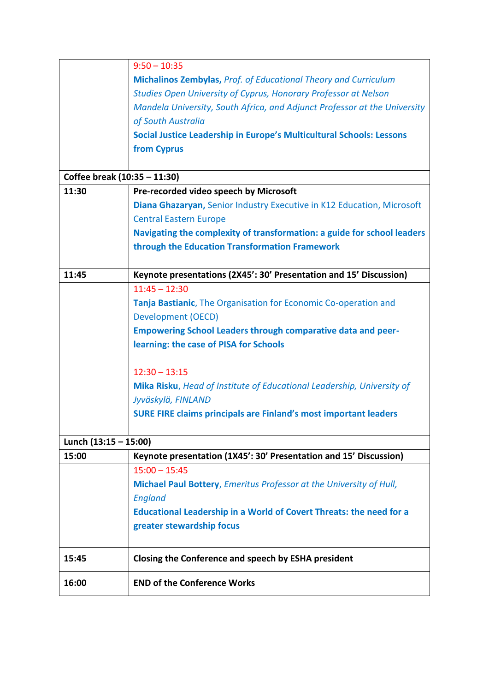|                              | $9:50 - 10:35$                                                             |  |  |  |
|------------------------------|----------------------------------------------------------------------------|--|--|--|
|                              | Michalinos Zembylas, Prof. of Educational Theory and Curriculum            |  |  |  |
|                              | Studies Open University of Cyprus, Honorary Professor at Nelson            |  |  |  |
|                              | Mandela University, South Africa, and Adjunct Professor at the University  |  |  |  |
|                              | of South Australia                                                         |  |  |  |
|                              | Social Justice Leadership in Europe's Multicultural Schools: Lessons       |  |  |  |
|                              | from Cyprus                                                                |  |  |  |
|                              |                                                                            |  |  |  |
| Coffee break (10:35 - 11:30) |                                                                            |  |  |  |
| 11:30                        | Pre-recorded video speech by Microsoft                                     |  |  |  |
|                              | Diana Ghazaryan, Senior Industry Executive in K12 Education, Microsoft     |  |  |  |
|                              | <b>Central Eastern Europe</b>                                              |  |  |  |
|                              | Navigating the complexity of transformation: a guide for school leaders    |  |  |  |
|                              | through the Education Transformation Framework                             |  |  |  |
|                              |                                                                            |  |  |  |
| 11:45                        | Keynote presentations (2X45': 30' Presentation and 15' Discussion)         |  |  |  |
|                              | $11:45 - 12:30$                                                            |  |  |  |
|                              | Tanja Bastianic, The Organisation for Economic Co-operation and            |  |  |  |
|                              | <b>Development (OECD)</b>                                                  |  |  |  |
|                              | <b>Empowering School Leaders through comparative data and peer-</b>        |  |  |  |
|                              | learning: the case of PISA for Schools                                     |  |  |  |
|                              |                                                                            |  |  |  |
|                              | $12:30 - 13:15$                                                            |  |  |  |
|                              | Mika Risku, Head of Institute of Educational Leadership, University of     |  |  |  |
|                              | Jyväskylä, FINLAND                                                         |  |  |  |
|                              | <b>SURE FIRE claims principals are Finland's most important leaders</b>    |  |  |  |
|                              |                                                                            |  |  |  |
| Lunch (13:15 - 15:00)        |                                                                            |  |  |  |
| 15:00                        | Keynote presentation (1X45': 30' Presentation and 15' Discussion)          |  |  |  |
|                              | $15:00 - 15:45$                                                            |  |  |  |
|                              | Michael Paul Bottery, Emeritus Professor at the University of Hull,        |  |  |  |
|                              | <b>England</b>                                                             |  |  |  |
|                              | <b>Educational Leadership in a World of Covert Threats: the need for a</b> |  |  |  |
|                              | greater stewardship focus                                                  |  |  |  |
|                              |                                                                            |  |  |  |
| 15:45                        | Closing the Conference and speech by ESHA president                        |  |  |  |
| 16:00                        | <b>END of the Conference Works</b>                                         |  |  |  |